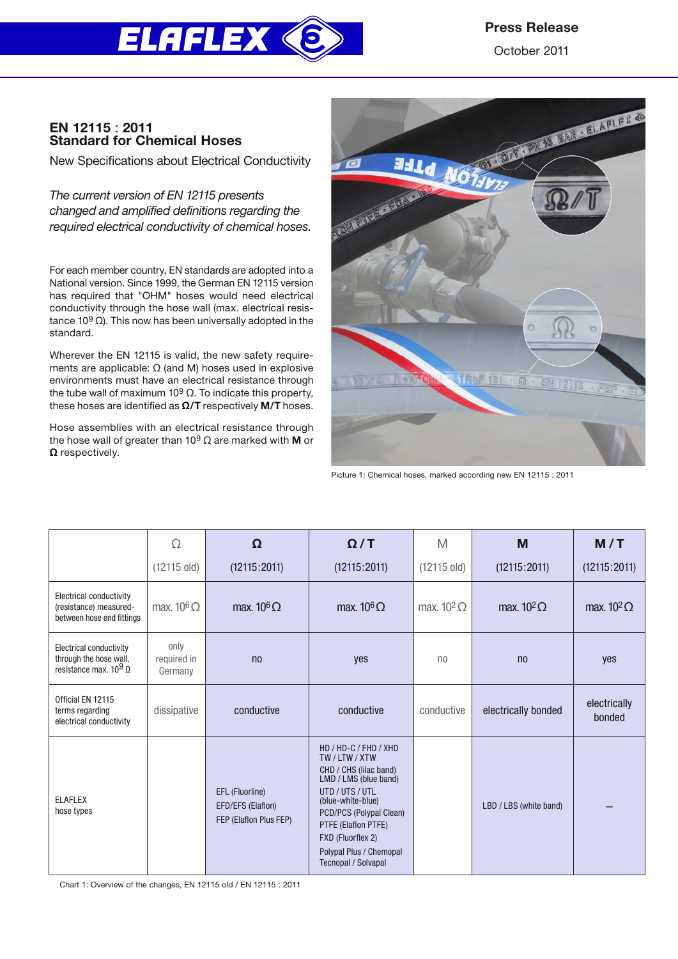

# Press Release

October 2011

# EN 12115 : 2011 Standard for Chemical Hoses

New Specifications about Electrical Conductivity

*The current version of EN 12115 presents changed and amplified definitions regarding the required electrical conductivity of chemical hoses.*

For each member country, EN standards are adopted into a National version. Since 1999, the German EN 12115 version has required that "OHM" hoses would need electrical conductivity through the hose wall (max. electrical resistance 10<sup>9</sup> Ω). This now has been universally adopted in the standard.

Wherever the EN 12115 is valid, the new safety requirements are applicable: Ω (and M) hoses used in explosive environments must have an electrical resistance through the tube wall of maximum 10<sup>9</sup> Ω. To indicate this property, these hoses are identified as  $\Omega$ /T respectively M/T hoses.

Hose assemblies with an electrical resistance through the hose wall of greater than 10<sup>9</sup> Ω are marked with **M** or Ω respectively.



Picture 1: Chemical hoses, marked according new EN 12115 : 2011

|                                                                                    | Ω                              | Ω                                                              | $\Omega/T$                                                                                                                                                                                                                                              | M                     | M                      | M/T                    |
|------------------------------------------------------------------------------------|--------------------------------|----------------------------------------------------------------|---------------------------------------------------------------------------------------------------------------------------------------------------------------------------------------------------------------------------------------------------------|-----------------------|------------------------|------------------------|
|                                                                                    | $(12115 \text{ old})$          | (12115:2011)                                                   | (12115:2011)                                                                                                                                                                                                                                            | $(12115 \text{ old})$ | (12115:2011)           | (12115:2011)           |
| Electrical conductivity<br>(resistance) measured-<br>between hose end fittings     | max. $10^6 \Omega$             | max. $10^6 \Omega$                                             | max. $10^6 \Omega$                                                                                                                                                                                                                                      | max. $10^2 \Omega$    | max. $10^2 \Omega$     | max. $10^2 \Omega$     |
| Electrical conductivity<br>through the hose wall,<br>resistance max. $10^9 \Omega$ | only<br>required in<br>Germany | n <sub>0</sub>                                                 | ves                                                                                                                                                                                                                                                     | n <sub>0</sub>        | n <sub>0</sub>         | ves                    |
| Official EN 12115<br>terms regarding<br>electrical conductivity                    | dissipative                    | conductive                                                     | conductive                                                                                                                                                                                                                                              | conductive            | electrically bonded    | electrically<br>bonded |
| <b>ELAFLEX</b><br>hose types                                                       |                                | EFL (Fluorline)<br>EFD/EFS (Elaflon)<br>FEP (Elaflon Plus FEP) | HD / HD-C / FHD / XHD<br>TW/LTW/XTW<br>CHD / CHS (lilac band)<br>LMD / LMS (blue band)<br>UTD / UTS / UTL<br>(blue-white-blue)<br>PCD/PCS (Polypal Clean)<br>PTFE (Elaflon PTFE)<br>FXD (Fluorflex 2)<br>Polypal Plus / Chemopal<br>Tecnopal / Solvapal |                       | LBD / LBS (white band) |                        |

Chart 1: Overview of the changes, EN 12115 old / EN 12115 : 2011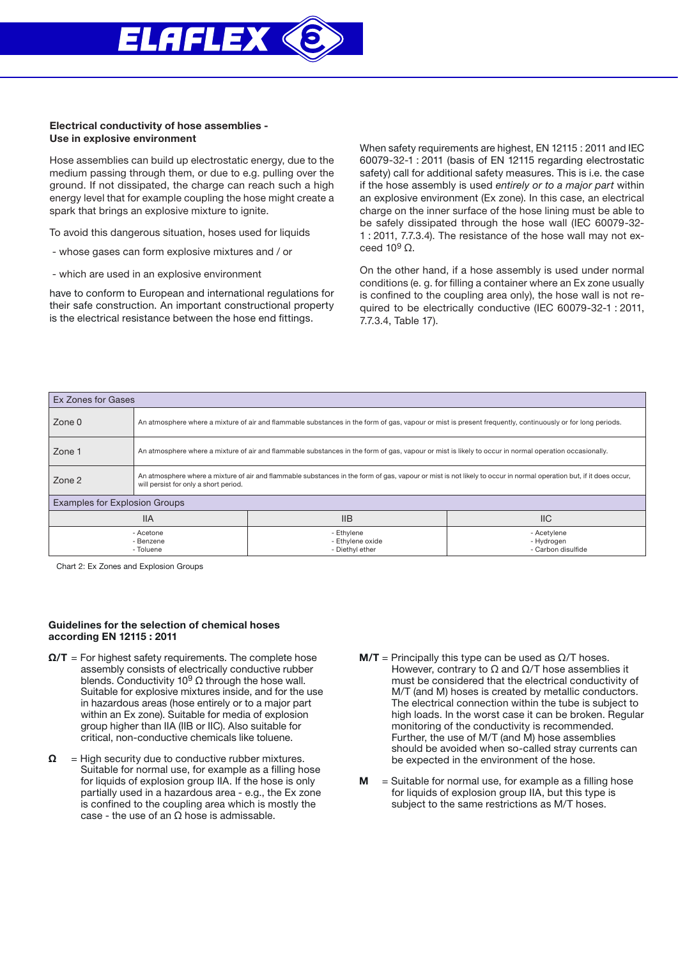

## Electrical conductivity of hose assemblies - Use in explosive environment

Hose assemblies can build up electrostatic energy, due to the medium passing through them, or due to e.g. pulling over the ground. If not dissipated, the charge can reach such a high energy level that for example coupling the hose might create a spark that brings an explosive mixture to ignite.

To avoid this dangerous situation, hoses used for liquids

- whose gases can form explosive mixtures and / or
- which are used in an explosive environment

have to conform to European and international regulations for their safe construction. An important constructional property is the electrical resistance between the hose end fittings.

When safety requirements are highest, EN 12115 : 2011 and IEC 60079-32-1 : 2011 (basis of EN 12115 regarding electrostatic safety) call for additional safety measures. This is i.e. the case if the hose assembly is used *entirely or to a major part* within an explosive environment (Ex zone). In this case, an electrical charge on the inner surface of the hose lining must be able to be safely dissipated through the hose wall (IEC 60079-32- 1 : 2011, 7.7.3.4). The resistance of the hose wall may not exceed  $10<sup>9</sup>$  Ω.

On the other hand, if a hose assembly is used under normal conditions (e. g. for filling a container where an Ex zone usually is confined to the coupling area only), the hose wall is not required to be electrically conductive (IEC 60079-32-1 : 2011, 7.7.3.4, Table 17).

| Ex Zones for Gases                   |                                                                                                                                                                                                             |                                                   |                                                 |  |  |  |
|--------------------------------------|-------------------------------------------------------------------------------------------------------------------------------------------------------------------------------------------------------------|---------------------------------------------------|-------------------------------------------------|--|--|--|
| Zone 0                               | An atmosphere where a mixture of air and flammable substances in the form of gas, vapour or mist is present frequently, continuously or for long periods.                                                   |                                                   |                                                 |  |  |  |
| Zone 1                               | An atmosphere where a mixture of air and flammable substances in the form of gas, vapour or mist is likely to occur in normal operation occasionally.                                                       |                                                   |                                                 |  |  |  |
| Zone 2                               | An atmosphere where a mixture of air and flammable substances in the form of gas, vapour or mist is not likely to occur in normal operation but, if it does occur,<br>will persist for only a short period. |                                                   |                                                 |  |  |  |
| <b>Examples for Explosion Groups</b> |                                                                                                                                                                                                             |                                                   |                                                 |  |  |  |
| <b>IIA</b>                           |                                                                                                                                                                                                             | <b>IIB</b>                                        | $II$                                            |  |  |  |
| - Acetone<br>- Benzene<br>- Toluene  |                                                                                                                                                                                                             | - Ethylene<br>- Ethylene oxide<br>- Diethyl ether | - Acetylene<br>- Hydrogen<br>- Carbon disulfide |  |  |  |

Chart 2: Ex Zones and Explosion Groups

## Guidelines for the selection of chemical hoses according EN 12115 : 2011

- $\Omega/T$  = For highest safety requirements. The complete hose assembly consists of electrically conductive rubber blends. Conductivity 10<sup>9</sup> Ω through the hose wall. Suitable for explosive mixtures inside, and for the use in hazardous areas (hose entirely or to a major part within an Ex zone). Suitable for media of explosion group higher than IIA (IIB or IIC). Also suitable for critical, non-conductive chemicals like toluene.
- $\Omega$  = High security due to conductive rubber mixtures. Suitable for normal use, for example as a filling hose for liquids of explosion group IIA. If the hose is only partially used in a hazardous area - e.g., the Ex zone is confined to the coupling area which is mostly the case - the use of an  $\Omega$  hose is admissable.
- $M/T$  = Principally this type can be used as  $\Omega/T$  hoses. However, contrary to  $\Omega$  and  $\Omega$ /T hose assemblies it must be considered that the electrical conductivity of M/T (and M) hoses is created by metallic conductors. The electrical connection within the tube is subject to high loads. In the worst case it can be broken. Regular monitoring of the conductivity is recommended. Further, the use of M/T (and M) hose assemblies should be avoided when so-called stray currents can be expected in the environment of the hose.
- $M =$  Suitable for normal use, for example as a filling hose for liquids of explosion group IIA, but this type is subject to the same restrictions as M/T hoses.